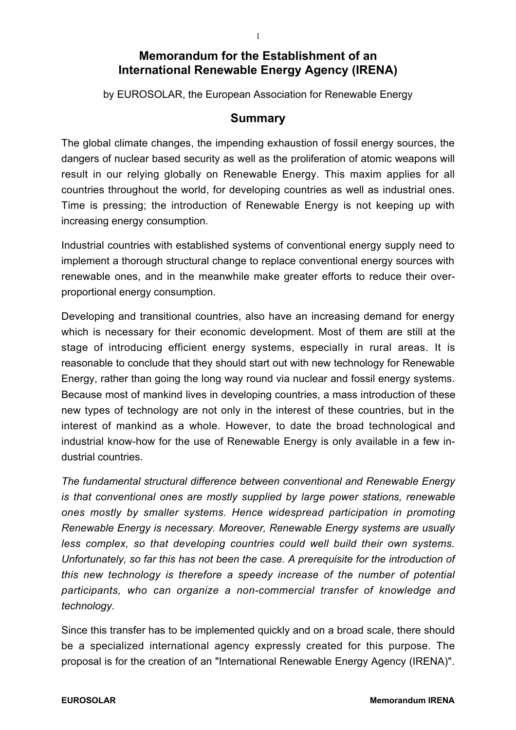## **Memorandum for the Establishment of an International Renewable Energy Agency (IRENA)**

by EUROSOLAR, the European Association for Renewable Energy

### **Summary**

The global climate changes, the impending exhaustion of fossil energy sources, the dangers of nuclear based security as well as the proliferation of atomic weapons will result in our relying globally on Renewable Energy. This maxim applies for all countries throughout the world, for developing countries as well as industrial ones. Time is pressing; the introduction of Renewable Energy is not keeping up with increasing energy consumption.

Industrial countries with established systems of conventional energy supply need to implement a thorough structural change to replace conventional energy sources with renewable ones, and in the meanwhile make greater efforts to reduce their overproportional energy consumption.

Developing and transitional countries, also have an increasing demand for energy which is necessary for their economic development. Most of them are still at the stage of introducing efficient energy systems, especially in rural areas. It is reasonable to conclude that they should start out with new technology for Renewable Energy, rather than going the long way round via nuclear and fossil energy systems. Because most of mankind lives in developing countries, a mass introduction of these new types of technology are not only in the interest of these countries, but in the interest of mankind as a whole. However, to date the broad technological and industrial know-how for the use of Renewable Energy is only available in a few industrial countries.

*The fundamental structural difference between conventional and Renewable Energy is that conventional ones are mostly supplied by large power stations, renewable ones mostly by smaller systems. Hence widespread participation in promoting Renewable Energy is necessary. Moreover, Renewable Energy systems are usually less complex, so that developing countries could well build their own systems. Unfortunately, so far this has not been the case. A prerequisite for the introduction of this new technology is therefore a speedy increase of the number of potential participants, who can organize a non-commercial transfer of knowledge and technology.*

Since this transfer has to be implemented quickly and on a broad scale, there should be a specialized international agency expressly created for this purpose. The proposal is for the creation of an "International Renewable Energy Agency (IRENA)".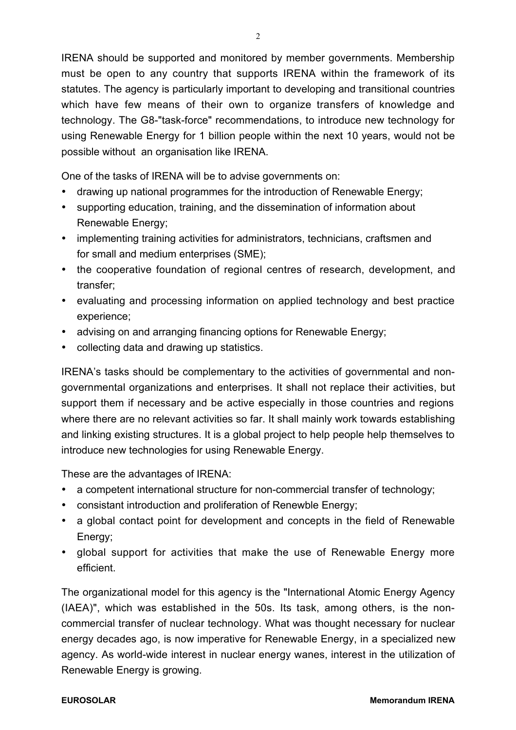IRENA should be supported and monitored by member governments. Membership must be open to any country that supports IRENA within the framework of its statutes. The agency is particularly important to developing and transitional countries which have few means of their own to organize transfers of knowledge and technology. The G8-"task-force" recommendations, to introduce new technology for using Renewable Energy for 1 billion people within the next 10 years, would not be possible without an organisation like IRENA.

One of the tasks of IRENA will be to advise governments on:

- · drawing up national programmes for the introduction of Renewable Energy;
- · supporting education, training, and the dissemination of information about Renewable Energy;
- · implementing training activities for administrators, technicians, craftsmen and for small and medium enterprises (SME);
- · the cooperative foundation of regional centres of research, development, and transfer;
- · evaluating and processing information on applied technology and best practice experience;
- · advising on and arranging financing options for Renewable Energy;
- · collecting data and drawing up statistics.

IRENA's tasks should be complementary to the activities of governmental and nongovernmental organizations and enterprises. It shall not replace their activities, but support them if necessary and be active especially in those countries and regions where there are no relevant activities so far. It shall mainly work towards establishing and linking existing structures. It is a global project to help people help themselves to introduce new technologies for using Renewable Energy.

These are the advantages of IRENA:

- · a competent international structure for non-commercial transfer of technology;
- · consistant introduction and proliferation of Renewble Energy;
- · a global contact point for development and concepts in the field of Renewable Energy;
- · global support for activities that make the use of Renewable Energy more efficient.

The organizational model for this agency is the "International Atomic Energy Agency (IAEA)", which was established in the 50s. Its task, among others, is the noncommercial transfer of nuclear technology. What was thought necessary for nuclear energy decades ago, is now imperative for Renewable Energy, in a specialized new agency. As world-wide interest in nuclear energy wanes, interest in the utilization of Renewable Energy is growing.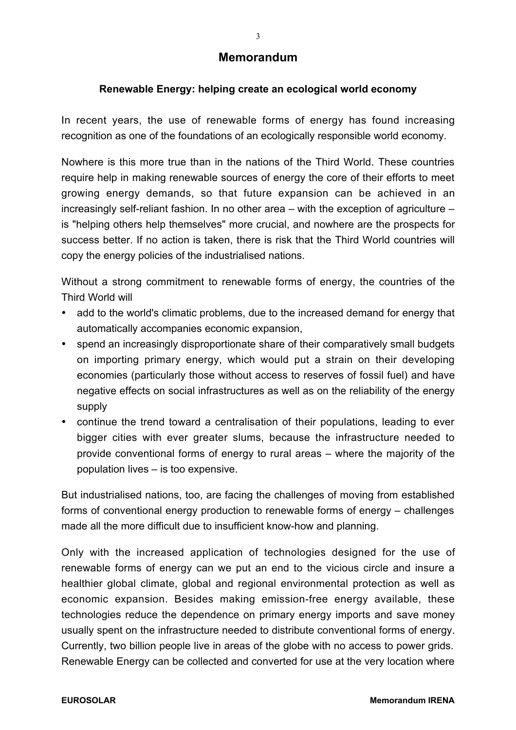## **Memorandum**

## **Renewable Energy: helping create an ecological world economy**

In recent years, the use of renewable forms of energy has found increasing recognition as one of the foundations of an ecologically responsible world economy.

Nowhere is this more true than in the nations of the Third World. These countries require help in making renewable sources of energy the core of their efforts to meet growing energy demands, so that future expansion can be achieved in an increasingly self-reliant fashion. In no other area – with the exception of agriculture – is "helping others help themselves" more crucial, and nowhere are the prospects for success better. If no action is taken, there is risk that the Third World countries will copy the energy policies of the industrialised nations.

Without a strong commitment to renewable forms of energy, the countries of the Third World will

- · add to the world's climatic problems, due to the increased demand for energy that automatically accompanies economic expansion,
- · spend an increasingly disproportionate share of their comparatively small budgets on importing primary energy, which would put a strain on their developing economies (particularly those without access to reserves of fossil fuel) and have negative effects on social infrastructures as well as on the reliability of the energy supply
- · continue the trend toward a centralisation of their populations, leading to ever bigger cities with ever greater slums, because the infrastructure needed to provide conventional forms of energy to rural areas – where the majority of the population lives – is too expensive.

But industrialised nations, too, are facing the challenges of moving from established forms of conventional energy production to renewable forms of energy – challenges made all the more difficult due to insufficient know-how and planning.

Only with the increased application of technologies designed for the use of renewable forms of energy can we put an end to the vicious circle and insure a healthier global climate, global and regional environmental protection as well as economic expansion. Besides making emission-free energy available, these technologies reduce the dependence on primary energy imports and save money usually spent on the infrastructure needed to distribute conventional forms of energy. Currently, two billion people live in areas of the globe with no access to power grids. Renewable Energy can be collected and converted for use at the very location where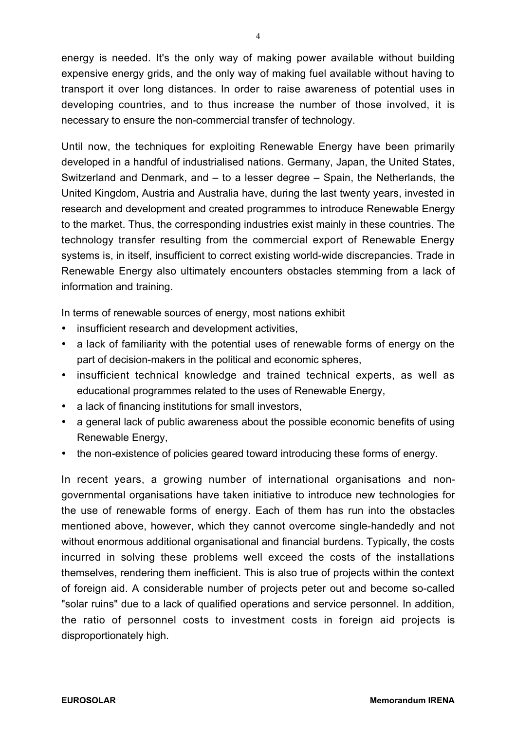energy is needed. It's the only way of making power available without building expensive energy grids, and the only way of making fuel available without having to transport it over long distances. In order to raise awareness of potential uses in developing countries, and to thus increase the number of those involved, it is necessary to ensure the non-commercial transfer of technology.

Until now, the techniques for exploiting Renewable Energy have been primarily developed in a handful of industrialised nations. Germany, Japan, the United States, Switzerland and Denmark, and – to a lesser degree – Spain, the Netherlands, the United Kingdom, Austria and Australia have, during the last twenty years, invested in research and development and created programmes to introduce Renewable Energy to the market. Thus, the corresponding industries exist mainly in these countries. The technology transfer resulting from the commercial export of Renewable Energy systems is, in itself, insufficient to correct existing world-wide discrepancies. Trade in Renewable Energy also ultimately encounters obstacles stemming from a lack of information and training.

In terms of renewable sources of energy, most nations exhibit

- · insufficient research and development activities,
- · a lack of familiarity with the potential uses of renewable forms of energy on the part of decision-makers in the political and economic spheres,
- · insufficient technical knowledge and trained technical experts, as well as educational programmes related to the uses of Renewable Energy,
- · a lack of financing institutions for small investors,
- · a general lack of public awareness about the possible economic benefits of using Renewable Energy,
- · the non-existence of policies geared toward introducing these forms of energy.

In recent years, a growing number of international organisations and nongovernmental organisations have taken initiative to introduce new technologies for the use of renewable forms of energy. Each of them has run into the obstacles mentioned above, however, which they cannot overcome single-handedly and not without enormous additional organisational and financial burdens. Typically, the costs incurred in solving these problems well exceed the costs of the installations themselves, rendering them inefficient. This is also true of projects within the context of foreign aid. A considerable number of projects peter out and become so-called "solar ruins" due to a lack of qualified operations and service personnel. In addition, the ratio of personnel costs to investment costs in foreign aid projects is disproportionately high.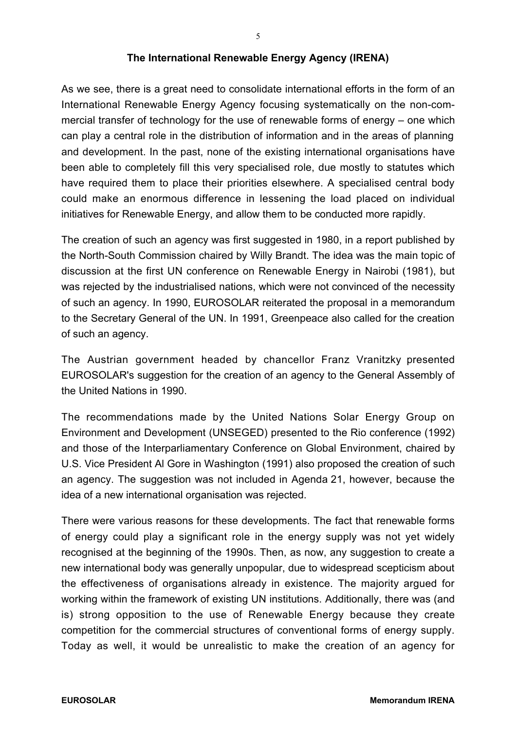### **The International Renewable Energy Agency (IRENA)**

As we see, there is a great need to consolidate international efforts in the form of an International Renewable Energy Agency focusing systematically on the non-commercial transfer of technology for the use of renewable forms of energy – one which can play a central role in the distribution of information and in the areas of planning and development. In the past, none of the existing international organisations have been able to completely fill this very specialised role, due mostly to statutes which have required them to place their priorities elsewhere. A specialised central body could make an enormous difference in lessening the load placed on individual initiatives for Renewable Energy, and allow them to be conducted more rapidly.

The creation of such an agency was first suggested in 1980, in a report published by the North-South Commission chaired by Willy Brandt. The idea was the main topic of discussion at the first UN conference on Renewable Energy in Nairobi (1981), but was rejected by the industrialised nations, which were not convinced of the necessity of such an agency. In 1990, EUROSOLAR reiterated the proposal in a memorandum to the Secretary General of the UN. In 1991, Greenpeace also called for the creation of such an agency.

The Austrian government headed by chancellor Franz Vranitzky presented EUROSOLAR's suggestion for the creation of an agency to the General Assembly of the United Nations in 1990.

The recommendations made by the United Nations Solar Energy Group on Environment and Development (UNSEGED) presented to the Rio conference (1992) and those of the Interparliamentary Conference on Global Environment, chaired by U.S. Vice President Al Gore in Washington (1991) also proposed the creation of such an agency. The suggestion was not included in Agenda 21, however, because the idea of a new international organisation was rejected.

There were various reasons for these developments. The fact that renewable forms of energy could play a significant role in the energy supply was not yet widely recognised at the beginning of the 1990s. Then, as now, any suggestion to create a new international body was generally unpopular, due to widespread scepticism about the effectiveness of organisations already in existence. The majority argued for working within the framework of existing UN institutions. Additionally, there was (and is) strong opposition to the use of Renewable Energy because they create competition for the commercial structures of conventional forms of energy supply. Today as well, it would be unrealistic to make the creation of an agency for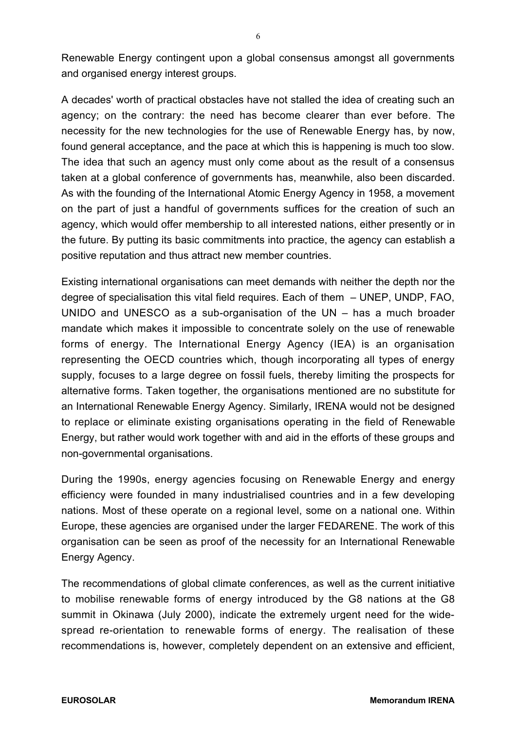Renewable Energy contingent upon a global consensus amongst all governments and organised energy interest groups.

A decades' worth of practical obstacles have not stalled the idea of creating such an agency; on the contrary: the need has become clearer than ever before. The necessity for the new technologies for the use of Renewable Energy has, by now, found general acceptance, and the pace at which this is happening is much too slow. The idea that such an agency must only come about as the result of a consensus taken at a global conference of governments has, meanwhile, also been discarded. As with the founding of the International Atomic Energy Agency in 1958, a movement on the part of just a handful of governments suffices for the creation of such an agency, which would offer membership to all interested nations, either presently or in the future. By putting its basic commitments into practice, the agency can establish a positive reputation and thus attract new member countries.

Existing international organisations can meet demands with neither the depth nor the degree of specialisation this vital field requires. Each of them – UNEP, UNDP, FAO, UNIDO and UNESCO as a sub-organisation of the UN – has a much broader mandate which makes it impossible to concentrate solely on the use of renewable forms of energy. The International Energy Agency (IEA) is an organisation representing the OECD countries which, though incorporating all types of energy supply, focuses to a large degree on fossil fuels, thereby limiting the prospects for alternative forms. Taken together, the organisations mentioned are no substitute for an International Renewable Energy Agency. Similarly, IRENA would not be designed to replace or eliminate existing organisations operating in the field of Renewable Energy, but rather would work together with and aid in the efforts of these groups and non-governmental organisations.

During the 1990s, energy agencies focusing on Renewable Energy and energy efficiency were founded in many industrialised countries and in a few developing nations. Most of these operate on a regional level, some on a national one. Within Europe, these agencies are organised under the larger FEDARENE. The work of this organisation can be seen as proof of the necessity for an International Renewable Energy Agency.

The recommendations of global climate conferences, as well as the current initiative to mobilise renewable forms of energy introduced by the G8 nations at the G8 summit in Okinawa (July 2000), indicate the extremely urgent need for the widespread re-orientation to renewable forms of energy. The realisation of these recommendations is, however, completely dependent on an extensive and efficient,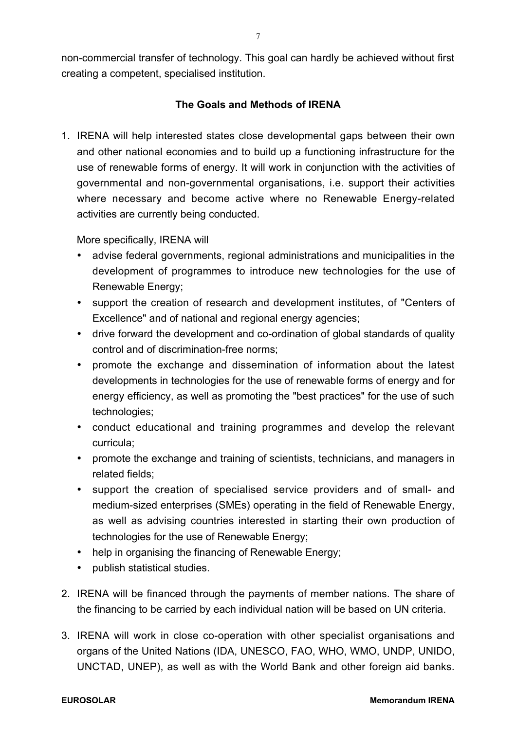non-commercial transfer of technology. This goal can hardly be achieved without first creating a competent, specialised institution.

### **The Goals and Methods of IRENA**

1. IRENA will help interested states close developmental gaps between their own and other national economies and to build up a functioning infrastructure for the use of renewable forms of energy. It will work in conjunction with the activities of governmental and non-governmental organisations, i.e. support their activities where necessary and become active where no Renewable Energy-related activities are currently being conducted.

More specifically, IRENA will

- · advise federal governments, regional administrations and municipalities in the development of programmes to introduce new technologies for the use of Renewable Energy;
- · support the creation of research and development institutes, of "Centers of Excellence" and of national and regional energy agencies;
- · drive forward the development and co-ordination of global standards of quality control and of discrimination-free norms;
- · promote the exchange and dissemination of information about the latest developments in technologies for the use of renewable forms of energy and for energy efficiency, as well as promoting the "best practices" for the use of such technologies;
- · conduct educational and training programmes and develop the relevant curricula;
- · promote the exchange and training of scientists, technicians, and managers in related fields;
- · support the creation of specialised service providers and of small- and medium-sized enterprises (SMEs) operating in the field of Renewable Energy, as well as advising countries interested in starting their own production of technologies for the use of Renewable Energy;
- · help in organising the financing of Renewable Energy;
- · publish statistical studies.
- 2. IRENA will be financed through the payments of member nations. The share of the financing to be carried by each individual nation will be based on UN criteria.
- 3. IRENA will work in close co-operation with other specialist organisations and organs of the United Nations (IDA, UNESCO, FAO, WHO, WMO, UNDP, UNIDO, UNCTAD, UNEP), as well as with the World Bank and other foreign aid banks.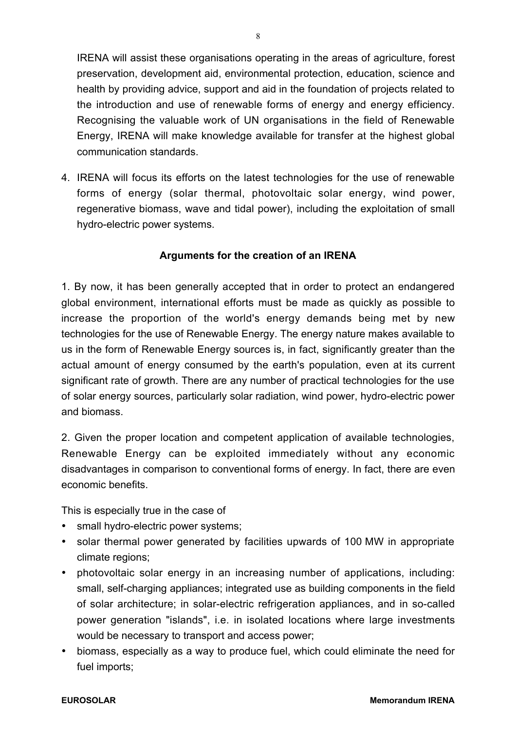IRENA will assist these organisations operating in the areas of agriculture, forest preservation, development aid, environmental protection, education, science and health by providing advice, support and aid in the foundation of projects related to the introduction and use of renewable forms of energy and energy efficiency. Recognising the valuable work of UN organisations in the field of Renewable Energy, IRENA will make knowledge available for transfer at the highest global communication standards.

4. IRENA will focus its efforts on the latest technologies for the use of renewable forms of energy (solar thermal, photovoltaic solar energy, wind power, regenerative biomass, wave and tidal power), including the exploitation of small hydro-electric power systems.

### **Arguments for the creation of an IRENA**

1. By now, it has been generally accepted that in order to protect an endangered global environment, international efforts must be made as quickly as possible to increase the proportion of the world's energy demands being met by new technologies for the use of Renewable Energy. The energy nature makes available to us in the form of Renewable Energy sources is, in fact, significantly greater than the actual amount of energy consumed by the earth's population, even at its current significant rate of growth. There are any number of practical technologies for the use of solar energy sources, particularly solar radiation, wind power, hydro-electric power and biomass.

2. Given the proper location and competent application of available technologies, Renewable Energy can be exploited immediately without any economic disadvantages in comparison to conventional forms of energy. In fact, there are even economic benefits.

This is especially true in the case of

- · small hydro-electric power systems;
- · solar thermal power generated by facilities upwards of 100 MW in appropriate climate regions;
- · photovoltaic solar energy in an increasing number of applications, including: small, self-charging appliances; integrated use as building components in the field of solar architecture; in solar-electric refrigeration appliances, and in so-called power generation "islands", i.e. in isolated locations where large investments would be necessary to transport and access power;
- · biomass, especially as a way to produce fuel, which could eliminate the need for fuel imports;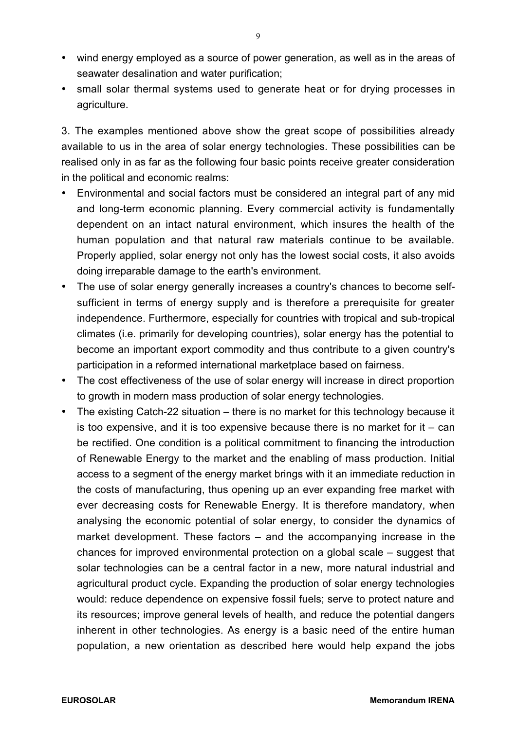- · wind energy employed as a source of power generation, as well as in the areas of seawater desalination and water purification;
- · small solar thermal systems used to generate heat or for drying processes in agriculture.

3. The examples mentioned above show the great scope of possibilities already available to us in the area of solar energy technologies. These possibilities can be realised only in as far as the following four basic points receive greater consideration in the political and economic realms:

- Environmental and social factors must be considered an integral part of any mid and long-term economic planning. Every commercial activity is fundamentally dependent on an intact natural environment, which insures the health of the human population and that natural raw materials continue to be available. Properly applied, solar energy not only has the lowest social costs, it also avoids doing irreparable damage to the earth's environment.
- · The use of solar energy generally increases a country's chances to become selfsufficient in terms of energy supply and is therefore a prerequisite for greater independence. Furthermore, especially for countries with tropical and sub-tropical climates (i.e. primarily for developing countries), solar energy has the potential to become an important export commodity and thus contribute to a given country's participation in a reformed international marketplace based on fairness.
- The cost effectiveness of the use of solar energy will increase in direct proportion to growth in modern mass production of solar energy technologies.
- · The existing Catch-22 situation there is no market for this technology because it is too expensive, and it is too expensive because there is no market for it – can be rectified. One condition is a political commitment to financing the introduction of Renewable Energy to the market and the enabling of mass production. Initial access to a segment of the energy market brings with it an immediate reduction in the costs of manufacturing, thus opening up an ever expanding free market with ever decreasing costs for Renewable Energy. It is therefore mandatory, when analysing the economic potential of solar energy, to consider the dynamics of market development. These factors – and the accompanying increase in the chances for improved environmental protection on a global scale – suggest that solar technologies can be a central factor in a new, more natural industrial and agricultural product cycle. Expanding the production of solar energy technologies would: reduce dependence on expensive fossil fuels; serve to protect nature and its resources; improve general levels of health, and reduce the potential dangers inherent in other technologies. As energy is a basic need of the entire human population, a new orientation as described here would help expand the jobs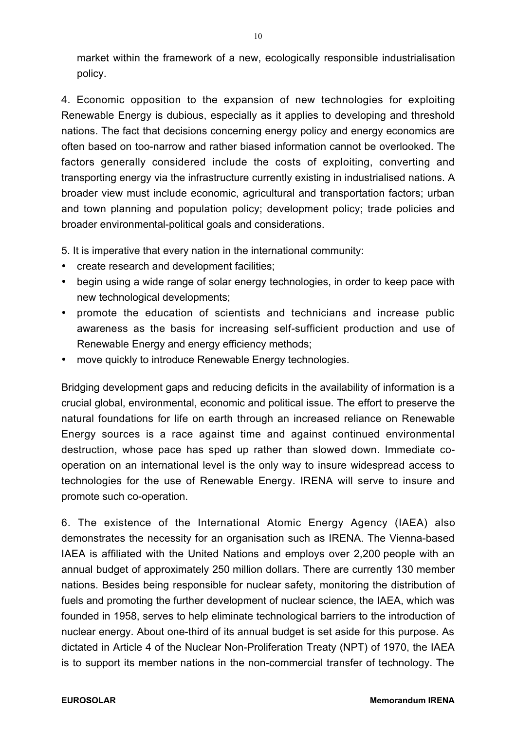market within the framework of a new, ecologically responsible industrialisation policy.

4. Economic opposition to the expansion of new technologies for exploiting Renewable Energy is dubious, especially as it applies to developing and threshold nations. The fact that decisions concerning energy policy and energy economics are often based on too-narrow and rather biased information cannot be overlooked. The factors generally considered include the costs of exploiting, converting and transporting energy via the infrastructure currently existing in industrialised nations. A broader view must include economic, agricultural and transportation factors; urban and town planning and population policy; development policy; trade policies and broader environmental-political goals and considerations.

5. It is imperative that every nation in the international community:

- · create research and development facilities;
- · begin using a wide range of solar energy technologies, in order to keep pace with new technological developments;
- · promote the education of scientists and technicians and increase public awareness as the basis for increasing self-sufficient production and use of Renewable Energy and energy efficiency methods;
- · move quickly to introduce Renewable Energy technologies.

Bridging development gaps and reducing deficits in the availability of information is a crucial global, environmental, economic and political issue. The effort to preserve the natural foundations for life on earth through an increased reliance on Renewable Energy sources is a race against time and against continued environmental destruction, whose pace has sped up rather than slowed down. Immediate cooperation on an international level is the only way to insure widespread access to technologies for the use of Renewable Energy. IRENA will serve to insure and promote such co-operation.

6. The existence of the International Atomic Energy Agency (IAEA) also demonstrates the necessity for an organisation such as IRENA. The Vienna-based IAEA is affiliated with the United Nations and employs over 2,200 people with an annual budget of approximately 250 million dollars. There are currently 130 member nations. Besides being responsible for nuclear safety, monitoring the distribution of fuels and promoting the further development of nuclear science, the IAEA, which was founded in 1958, serves to help eliminate technological barriers to the introduction of nuclear energy. About one-third of its annual budget is set aside for this purpose. As dictated in Article 4 of the Nuclear Non-Proliferation Treaty (NPT) of 1970, the IAEA is to support its member nations in the non-commercial transfer of technology. The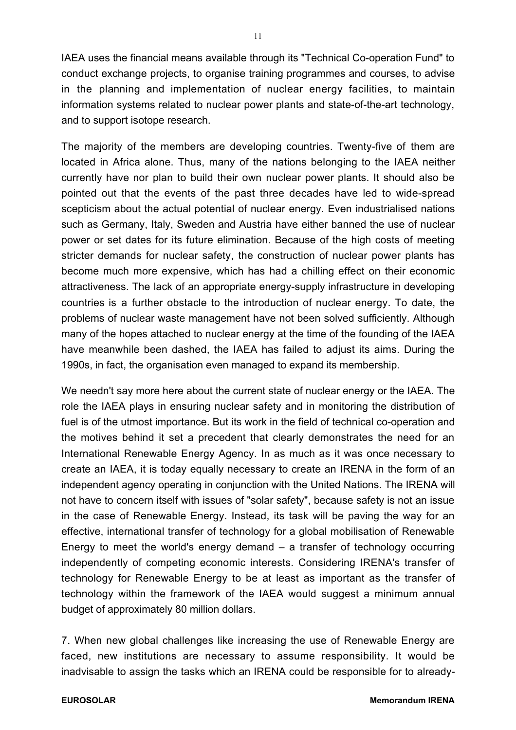IAEA uses the financial means available through its "Technical Co-operation Fund" to conduct exchange projects, to organise training programmes and courses, to advise in the planning and implementation of nuclear energy facilities, to maintain information systems related to nuclear power plants and state-of-the-art technology, and to support isotope research.

The majority of the members are developing countries. Twenty-five of them are located in Africa alone. Thus, many of the nations belonging to the IAEA neither currently have nor plan to build their own nuclear power plants. It should also be pointed out that the events of the past three decades have led to wide-spread scepticism about the actual potential of nuclear energy. Even industrialised nations such as Germany, Italy, Sweden and Austria have either banned the use of nuclear power or set dates for its future elimination. Because of the high costs of meeting stricter demands for nuclear safety, the construction of nuclear power plants has become much more expensive, which has had a chilling effect on their economic attractiveness. The lack of an appropriate energy-supply infrastructure in developing countries is a further obstacle to the introduction of nuclear energy. To date, the problems of nuclear waste management have not been solved sufficiently. Although many of the hopes attached to nuclear energy at the time of the founding of the IAEA have meanwhile been dashed, the IAEA has failed to adjust its aims. During the 1990s, in fact, the organisation even managed to expand its membership.

We needn't say more here about the current state of nuclear energy or the IAEA. The role the IAEA plays in ensuring nuclear safety and in monitoring the distribution of fuel is of the utmost importance. But its work in the field of technical co-operation and the motives behind it set a precedent that clearly demonstrates the need for an International Renewable Energy Agency. In as much as it was once necessary to create an IAEA, it is today equally necessary to create an IRENA in the form of an independent agency operating in conjunction with the United Nations. The IRENA will not have to concern itself with issues of "solar safety", because safety is not an issue in the case of Renewable Energy. Instead, its task will be paving the way for an effective, international transfer of technology for a global mobilisation of Renewable Energy to meet the world's energy demand – a transfer of technology occurring independently of competing economic interests. Considering IRENA's transfer of technology for Renewable Energy to be at least as important as the transfer of technology within the framework of the IAEA would suggest a minimum annual budget of approximately 80 million dollars.

7. When new global challenges like increasing the use of Renewable Energy are faced, new institutions are necessary to assume responsibility. It would be inadvisable to assign the tasks which an IRENA could be responsible for to already-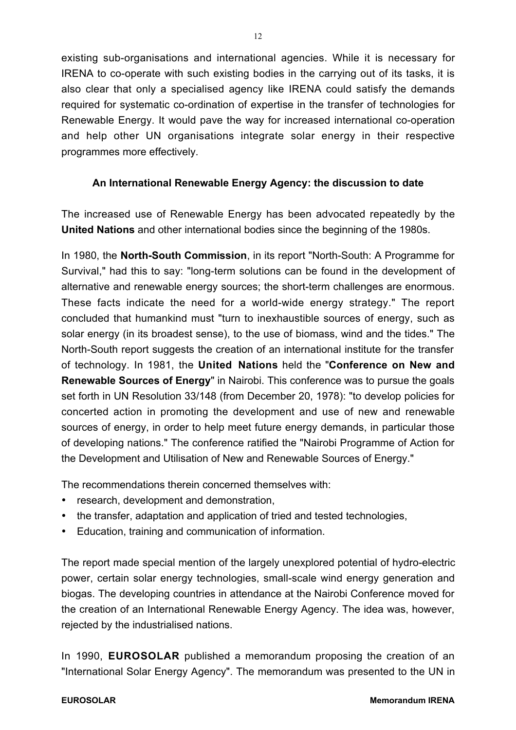existing sub-organisations and international agencies. While it is necessary for IRENA to co-operate with such existing bodies in the carrying out of its tasks, it is also clear that only a specialised agency like IRENA could satisfy the demands required for systematic co-ordination of expertise in the transfer of technologies for Renewable Energy. It would pave the way for increased international co-operation and help other UN organisations integrate solar energy in their respective programmes more effectively.

### **An International Renewable Energy Agency: the discussion to date**

The increased use of Renewable Energy has been advocated repeatedly by the **United Nations** and other international bodies since the beginning of the 1980s.

In 1980, the **North-South Commission**, in its report "North-South: A Programme for Survival," had this to say: "long-term solutions can be found in the development of alternative and renewable energy sources; the short-term challenges are enormous. These facts indicate the need for a world-wide energy strategy." The report concluded that humankind must "turn to inexhaustible sources of energy, such as solar energy (in its broadest sense), to the use of biomass, wind and the tides." The North-South report suggests the creation of an international institute for the transfer of technology. In 1981, the **United Nations** held the "**Conference on New and Renewable Sources of Energy**" in Nairobi. This conference was to pursue the goals set forth in UN Resolution 33/148 (from December 20, 1978): "to develop policies for concerted action in promoting the development and use of new and renewable sources of energy, in order to help meet future energy demands, in particular those of developing nations." The conference ratified the "Nairobi Programme of Action for the Development and Utilisation of New and Renewable Sources of Energy."

The recommendations therein concerned themselves with:

- · research, development and demonstration,
- · the transfer, adaptation and application of tried and tested technologies,
- · Education, training and communication of information.

The report made special mention of the largely unexplored potential of hydro-electric power, certain solar energy technologies, small-scale wind energy generation and biogas. The developing countries in attendance at the Nairobi Conference moved for the creation of an International Renewable Energy Agency. The idea was, however, rejected by the industrialised nations.

In 1990, **EUROSOLAR** published a memorandum proposing the creation of an "International Solar Energy Agency". The memorandum was presented to the UN in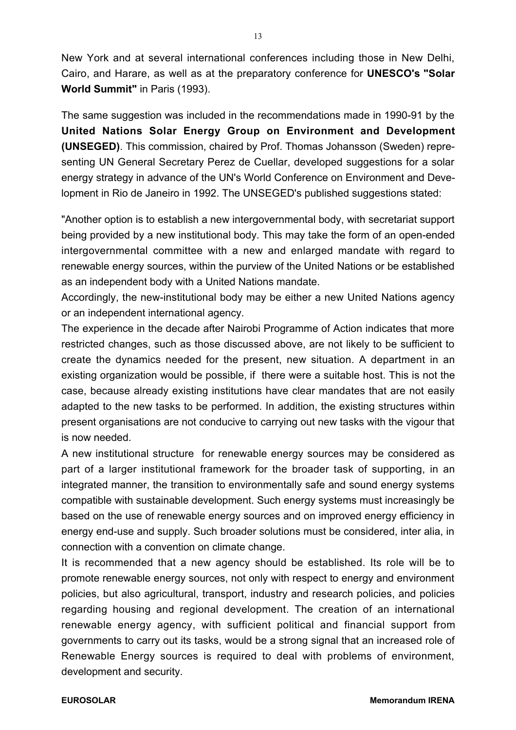New York and at several international conferences including those in New Delhi, Cairo, and Harare, as well as at the preparatory conference for **UNESCO's "Solar World Summit"** in Paris (1993).

The same suggestion was included in the recommendations made in 1990-91 by the **United Nations Solar Energy Group on Environment and Development (UNSEGED)**. This commission, chaired by Prof. Thomas Johansson (Sweden) representing UN General Secretary Perez de Cuellar, developed suggestions for a solar energy strategy in advance of the UN's World Conference on Environment and Development in Rio de Janeiro in 1992. The UNSEGED's published suggestions stated:

"Another option is to establish a new intergovernmental body, with secretariat support being provided by a new institutional body. This may take the form of an open-ended intergovernmental committee with a new and enlarged mandate with regard to renewable energy sources, within the purview of the United Nations or be established as an independent body with a United Nations mandate.

Accordingly, the new-institutional body may be either a new United Nations agency or an independent international agency.

The experience in the decade after Nairobi Programme of Action indicates that more restricted changes, such as those discussed above, are not likely to be sufficient to create the dynamics needed for the present, new situation. A department in an existing organization would be possible, if there were a suitable host. This is not the case, because already existing institutions have clear mandates that are not easily adapted to the new tasks to be performed. In addition, the existing structures within present organisations are not conducive to carrying out new tasks with the vigour that is now needed.

A new institutional structure for renewable energy sources may be considered as part of a larger institutional framework for the broader task of supporting, in an integrated manner, the transition to environmentally safe and sound energy systems compatible with sustainable development. Such energy systems must increasingly be based on the use of renewable energy sources and on improved energy efficiency in energy end-use and supply. Such broader solutions must be considered, inter alia, in connection with a convention on climate change.

It is recommended that a new agency should be established. Its role will be to promote renewable energy sources, not only with respect to energy and environment policies, but also agricultural, transport, industry and research policies, and policies regarding housing and regional development. The creation of an international renewable energy agency, with sufficient political and financial support from governments to carry out its tasks, would be a strong signal that an increased role of Renewable Energy sources is required to deal with problems of environment, development and security.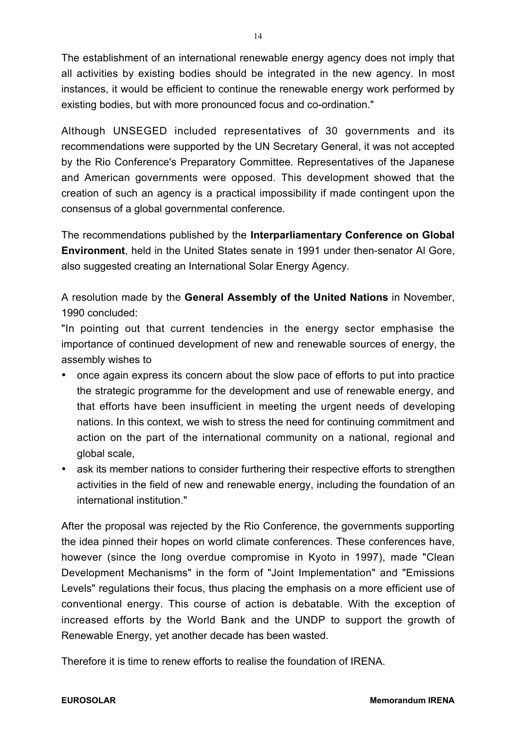The establishment of an international renewable energy agency does not imply that all activities by existing bodies should be integrated in the new agency. In most instances, it would be efficient to continue the renewable energy work performed by existing bodies, but with more pronounced focus and co-ordination."

Although UNSEGED included representatives of 30 governments and its recommendations were supported by the UN Secretary General, it was not accepted by the Rio Conference's Preparatory Committee. Representatives of the Japanese and American governments were opposed. This development showed that the creation of such an agency is a practical impossibility if made contingent upon the consensus of a global governmental conference.

The recommendations published by the **Interparliamentary Conference on Global Environment**, held in the United States senate in 1991 under then-senator Al Gore, also suggested creating an International Solar Energy Agency.

A resolution made by the **General Assembly of the United Nations** in November, 1990 concluded:

"In pointing out that current tendencies in the energy sector emphasise the importance of continued development of new and renewable sources of energy, the assembly wishes to

- · once again express its concern about the slow pace of efforts to put into practice the strategic programme for the development and use of renewable energy, and that efforts have been insufficient in meeting the urgent needs of developing nations. In this context, we wish to stress the need for continuing commitment and action on the part of the international community on a national, regional and global scale,
- · ask its member nations to consider furthering their respective efforts to strengthen activities in the field of new and renewable energy, including the foundation of an international institution."

After the proposal was rejected by the Rio Conference, the governments supporting the idea pinned their hopes on world climate conferences. These conferences have, however (since the long overdue compromise in Kyoto in 1997), made "Clean Development Mechanisms" in the form of "Joint Implementation" and "Emissions Levels" regulations their focus, thus placing the emphasis on a more efficient use of conventional energy. This course of action is debatable. With the exception of increased efforts by the World Bank and the UNDP to support the growth of Renewable Energy, yet another decade has been wasted.

Therefore it is time to renew efforts to realise the foundation of IRENA.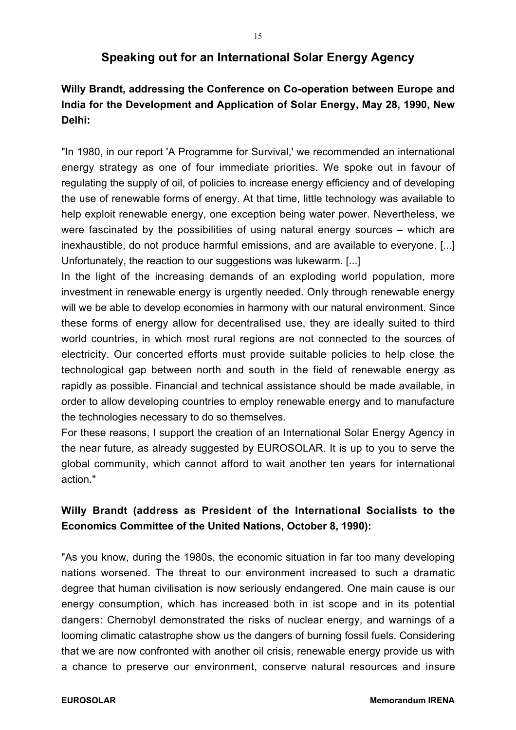## **Speaking out for an International Solar Energy Agency**

# **Willy Brandt, addressing the Conference on Co-operation between Europe and India for the Development and Application of Solar Energy, May 28, 1990, New Delhi:**

"In 1980, in our report 'A Programme for Survival,' we recommended an international energy strategy as one of four immediate priorities. We spoke out in favour of regulating the supply of oil, of policies to increase energy efficiency and of developing the use of renewable forms of energy. At that time, little technology was available to help exploit renewable energy, one exception being water power. Nevertheless, we were fascinated by the possibilities of using natural energy sources – which are inexhaustible, do not produce harmful emissions, and are available to everyone. [...] Unfortunately, the reaction to our suggestions was lukewarm. [...]

In the light of the increasing demands of an exploding world population, more investment in renewable energy is urgently needed. Only through renewable energy will we be able to develop economies in harmony with our natural environment. Since these forms of energy allow for decentralised use, they are ideally suited to third world countries, in which most rural regions are not connected to the sources of electricity. Our concerted efforts must provide suitable policies to help close the technological gap between north and south in the field of renewable energy as rapidly as possible. Financial and technical assistance should be made available, in order to allow developing countries to employ renewable energy and to manufacture the technologies necessary to do so themselves.

For these reasons, I support the creation of an International Solar Energy Agency in the near future, as already suggested by EUROSOLAR. It is up to you to serve the global community, which cannot afford to wait another ten years for international action."

# **Willy Brandt (address as President of the International Socialists to the Economics Committee of the United Nations, October 8, 1990):**

"As you know, during the 1980s, the economic situation in far too many developing nations worsened. The threat to our environment increased to such a dramatic degree that human civilisation is now seriously endangered. One main cause is our energy consumption, which has increased both in ist scope and in its potential dangers: Chernobyl demonstrated the risks of nuclear energy, and warnings of a looming climatic catastrophe show us the dangers of burning fossil fuels. Considering that we are now confronted with another oil crisis, renewable energy provide us with a chance to preserve our environment, conserve natural resources and insure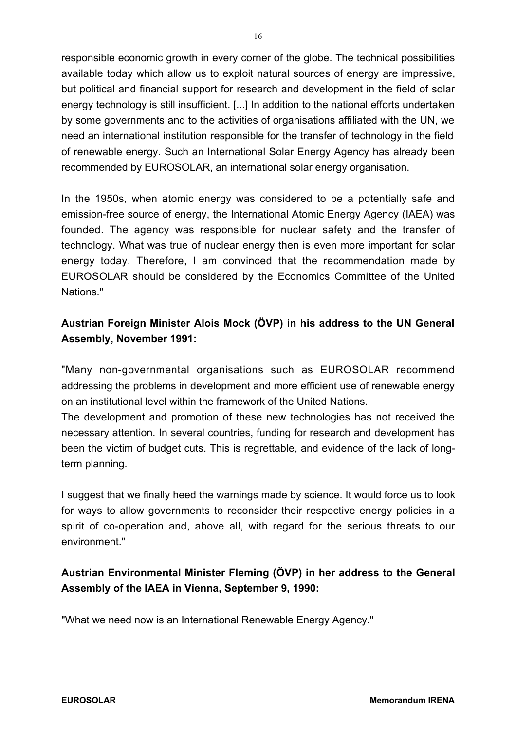responsible economic growth in every corner of the globe. The technical possibilities available today which allow us to exploit natural sources of energy are impressive, but political and financial support for research and development in the field of solar energy technology is still insufficient. [...] In addition to the national efforts undertaken by some governments and to the activities of organisations affiliated with the UN, we need an international institution responsible for the transfer of technology in the field of renewable energy. Such an International Solar Energy Agency has already been recommended by EUROSOLAR, an international solar energy organisation.

In the 1950s, when atomic energy was considered to be a potentially safe and emission-free source of energy, the International Atomic Energy Agency (IAEA) was founded. The agency was responsible for nuclear safety and the transfer of technology. What was true of nuclear energy then is even more important for solar energy today. Therefore, I am convinced that the recommendation made by EUROSOLAR should be considered by the Economics Committee of the United Nations."

# **Austrian Foreign Minister Alois Mock (ÖVP) in his address to the UN General Assembly, November 1991:**

"Many non-governmental organisations such as EUROSOLAR recommend addressing the problems in development and more efficient use of renewable energy on an institutional level within the framework of the United Nations.

The development and promotion of these new technologies has not received the necessary attention. In several countries, funding for research and development has been the victim of budget cuts. This is regrettable, and evidence of the lack of longterm planning.

I suggest that we finally heed the warnings made by science. It would force us to look for ways to allow governments to reconsider their respective energy policies in a spirit of co-operation and, above all, with regard for the serious threats to our environment."

# **Austrian Environmental Minister Fleming (ÖVP) in her address to the General Assembly of the IAEA in Vienna, September 9, 1990:**

"What we need now is an International Renewable Energy Agency."